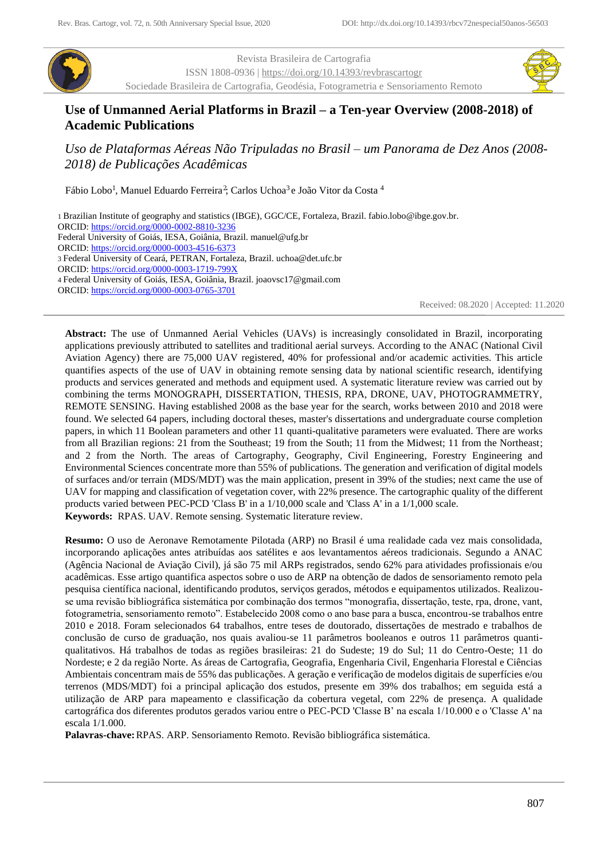

Revista Brasileira de Cartografia ISSN 1808-0936 |<https://doi.org/10.14393/revbrascartogr> Sociedade Brasileira de Cartografia, Geodésia, Fotogrametria e Sensoriamento Remoto



# **Use of Unmanned Aerial Platforms in Brazil – a Ten-year Overview (2008-2018) of Academic Publications**

*Uso de Plataformas Aéreas Não Tripuladas no Brasil – um Panorama de Dez Anos (2008- 2018) de Publicações Acadêmicas*

Fábio Lobo<sup>1</sup>, Manuel Eduardo Ferreira<sup>2</sup>, Carlos Uchoa<sup>3</sup> e João Vitor da Costa <sup>4</sup>

1 Brazilian Institute of geography and statistics (IBGE), GGC/CE, Fortaleza, Brazil. fabio.lobo@ibge.gov.br. ORCID[: https://orcid.org/0000-0002-8810-3236](https://orcid.org/0000-0002-8810-3236) Federal University of Goiás, IESA, Goiânia, Brazil. manuel@ufg.br ORCID[: https://orcid.org/0000-0003-4516-6373](https://orcid.org/0000-0003-4516-6373) 3 Federal University of Ceará, PETRAN, Fortaleza, Brazil. uchoa@det.ufc.br ORCID[: https://orcid.org/0000-0003-1719-799X](https://orcid.org/0000-0003-1719-799X) 4 Federal University of Goiás, IESA, Goiânia, Brazil. joaovsc17@gmail.com ORCID[: https://orcid.org/0000-0003-0765-3701](https://orcid.org/0000-0003-0765-3701)

Received: 08.2020 | Accepted: 11.2020

**Abstract:** The use of Unmanned Aerial Vehicles (UAVs) is increasingly consolidated in Brazil, incorporating applications previously attributed to satellites and traditional aerial surveys. According to the ANAC (National Civil Aviation Agency) there are 75,000 UAV registered, 40% for professional and/or academic activities. This article quantifies aspects of the use of UAV in obtaining remote sensing data by national scientific research, identifying products and services generated and methods and equipment used. A systematic literature review was carried out by combining the terms MONOGRAPH, DISSERTATION, THESIS, RPA, DRONE, UAV, PHOTOGRAMMETRY, REMOTE SENSING*.* Having established 2008 as the base year for the search, works between 2010 and 2018 were found. We selected 64 papers, including doctoral theses, master's dissertations and undergraduate course completion papers, in which 11 Boolean parameters and other 11 quanti-qualitative parameters were evaluated. There are works from all Brazilian regions: 21 from the Southeast; 19 from the South; 11 from the Midwest; 11 from the Northeast; and 2 from the North. The areas of Cartography, Geography, Civil Engineering, Forestry Engineering and Environmental Sciences concentrate more than 55% of publications. The generation and verification of digital models of surfaces and/or terrain (MDS/MDT) was the main application, present in 39% of the studies; next came the use of UAV for mapping and classification of vegetation cover, with 22% presence. The cartographic quality of the different products varied between PEC-PCD 'Class B' in a 1/10,000 scale and 'Class A' in a 1/1,000 scale.

**Keywords:** RPAS. UAV. Remote sensing. Systematic literature review.

**Resumo:** O uso de Aeronave Remotamente Pilotada (ARP) no Brasil é uma realidade cada vez mais consolidada, incorporando aplicações antes atribuídas aos satélites e aos levantamentos aéreos tradicionais. Segundo a ANAC (Agência Nacional de Aviação Civil), já são 75 mil ARPs registrados, sendo 62% para atividades profissionais e/ou acadêmicas. Esse artigo quantifica aspectos sobre o uso de ARP na obtenção de dados de sensoriamento remoto pela pesquisa científica nacional, identificando produtos, serviços gerados, métodos e equipamentos utilizados. Realizouse uma revisão bibliográfica sistemática por combinação dos termos "monografia, dissertação, teste, rpa, drone, vant, fotogrametria, sensoriamento remoto". Estabelecido 2008 como o ano base para a busca, encontrou-se trabalhos entre 2010 e 2018. Foram selecionados 64 trabalhos, entre teses de doutorado, dissertações de mestrado e trabalhos de conclusão de curso de graduação, nos quais avaliou-se 11 parâmetros booleanos e outros 11 parâmetros quantiqualitativos. Há trabalhos de todas as regiões brasileiras: 21 do Sudeste; 19 do Sul; 11 do Centro-Oeste; 11 do Nordeste; e 2 da região Norte. As áreas de Cartografia, Geografia, Engenharia Civil, Engenharia Florestal e Ciências Ambientais concentram mais de 55% das publicações. A geração e verificação de modelos digitais de superfícies e/ou terrenos (MDS/MDT) foi a principal aplicação dos estudos, presente em 39% dos trabalhos; em seguida está a utilização de ARP para mapeamento e classificação da cobertura vegetal, com 22% de presença. A qualidade cartográfica dos diferentes produtos gerados variou entre o PEC-PCD 'Classe B' na escala 1/10.000 e o 'Classe A' na escala 1/1.000.

**Palavras-chave:**RPAS. ARP. Sensoriamento Remoto. Revisão bibliográfica sistemática.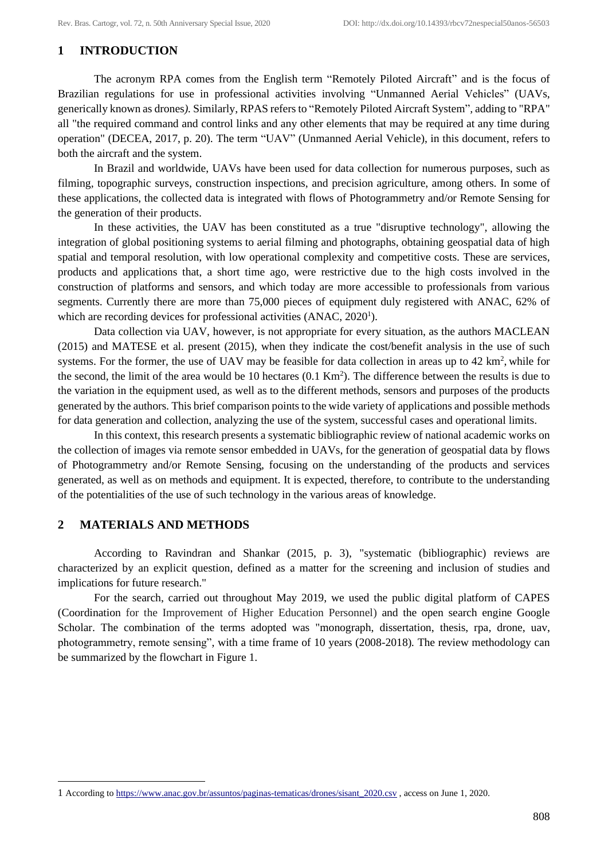## **1 INTRODUCTION**

The acronym RPA comes from the English term "Remotely Piloted Aircraft" and is the focus of Brazilian regulations for use in professional activities involving "Unmanned Aerial Vehicles" (UAVs, generically known as drones*).* Similarly, RPAS refers to "Remotely Piloted Aircraft System"*,* adding to "RPA" all "the required command and control links and any other elements that may be required at any time during operation" (DECEA, 2017, p. 20). The term "UAV" (Unmanned Aerial Vehicle), in this document, refers to both the aircraft and the system.

In Brazil and worldwide, UAVs have been used for data collection for numerous purposes, such as filming, topographic surveys, construction inspections, and precision agriculture, among others. In some of these applications, the collected data is integrated with flows of Photogrammetry and/or Remote Sensing for the generation of their products.

In these activities, the UAV has been constituted as a true "disruptive technology", allowing the integration of global positioning systems to aerial filming and photographs, obtaining geospatial data of high spatial and temporal resolution, with low operational complexity and competitive costs. These are services, products and applications that, a short time ago, were restrictive due to the high costs involved in the construction of platforms and sensors, and which today are more accessible to professionals from various segments. Currently there are more than 75,000 pieces of equipment duly registered with ANAC, 62% of which are recording devices for professional activities (ANAC, 2020<sup>1</sup>).

Data collection via UAV, however, is not appropriate for every situation, as the authors MACLEAN (2015) and MATESE et al. present (2015), when they indicate the cost/benefit analysis in the use of such systems. For the former, the use of UAV may be feasible for data collection in areas up to 42 km<sup>2</sup>, while for the second, the limit of the area would be 10 hectares  $(0.1 \text{ Km}^2)$ . The difference between the results is due to the variation in the equipment used, as well as to the different methods, sensors and purposes of the products generated by the authors. This brief comparison points to the wide variety of applications and possible methods for data generation and collection, analyzing the use of the system, successful cases and operational limits.

In this context, this research presents a systematic bibliographic review of national academic works on the collection of images via remote sensor embedded in UAVs, for the generation of geospatial data by flows of Photogrammetry and/or Remote Sensing, focusing on the understanding of the products and services generated, as well as on methods and equipment. It is expected, therefore, to contribute to the understanding of the potentialities of the use of such technology in the various areas of knowledge.

#### **2 MATERIALS AND METHODS**

According to Ravindran and Shankar (2015, p. 3), "systematic (bibliographic) reviews are characterized by an explicit question, defined as a matter for the screening and inclusion of studies and implications for future research."

For the search, carried out throughout May 2019, we used the public digital platform of CAPES (Coordination for the Improvement of Higher Education Personnel) and the open search engine Google Scholar. The combination of the terms adopted was "monograph, dissertation, thesis, rpa, drone, uav, photogrammetry, remote sensing", with a time frame of 10 years (2008-2018)*.* The review methodology can be summarized by the flowchart in Figure 1.

<sup>1</sup> According t[o https://www.anac.gov.br/assuntos/paginas-tematicas/drones/sisant\\_2020.csv](https://www.anac.gov.br/assuntos/paginas-tematicas/drones/sisant_2020.csv) , access on June 1, 2020.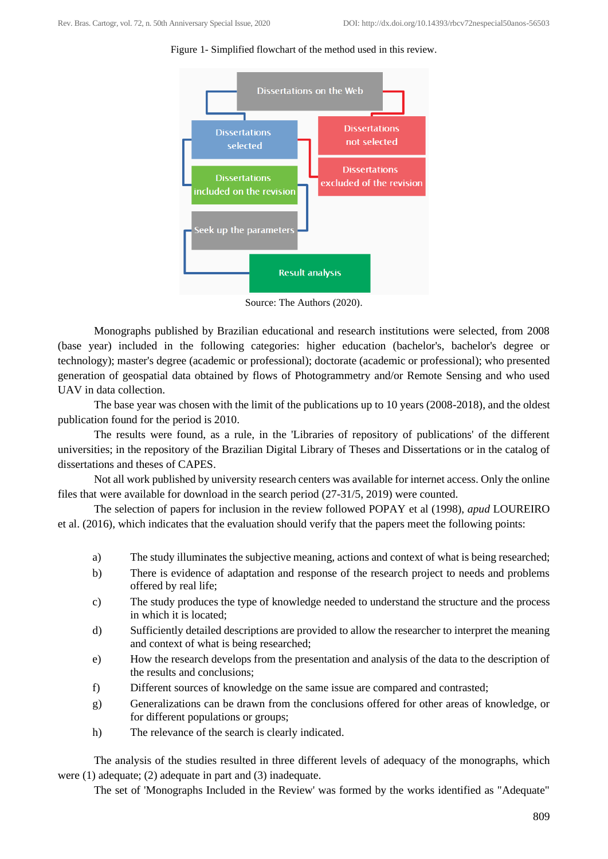



Source: The Authors (2020).

Monographs published by Brazilian educational and research institutions were selected, from 2008 (base year) included in the following categories: higher education (bachelor's, bachelor's degree or technology); master's degree (academic or professional); doctorate (academic or professional); who presented generation of geospatial data obtained by flows of Photogrammetry and/or Remote Sensing and who used UAV in data collection.

The base year was chosen with the limit of the publications up to 10 years (2008-2018), and the oldest publication found for the period is 2010.

The results were found, as a rule, in the 'Libraries of repository of publications' of the different universities; in the repository of the Brazilian Digital Library of Theses and Dissertations or in the catalog of dissertations and theses of CAPES.

Not all work published by university research centers was available for internet access. Only the online files that were available for download in the search period (27-31/5, 2019) were counted.

The selection of papers for inclusion in the review followed POPAY et al (1998), *apud* LOUREIRO et al. (2016), which indicates that the evaluation should verify that the papers meet the following points:

- a) The study illuminates the subjective meaning, actions and context of what is being researched;
- b) There is evidence of adaptation and response of the research project to needs and problems offered by real life;
- c) The study produces the type of knowledge needed to understand the structure and the process in which it is located;
- d) Sufficiently detailed descriptions are provided to allow the researcher to interpret the meaning and context of what is being researched;
- e) How the research develops from the presentation and analysis of the data to the description of the results and conclusions;
- f) Different sources of knowledge on the same issue are compared and contrasted;
- g) Generalizations can be drawn from the conclusions offered for other areas of knowledge, or for different populations or groups;
- h) The relevance of the search is clearly indicated.

The analysis of the studies resulted in three different levels of adequacy of the monographs, which were (1) adequate; (2) adequate in part and (3) inadequate.

The set of 'Monographs Included in the Review' was formed by the works identified as "Adequate"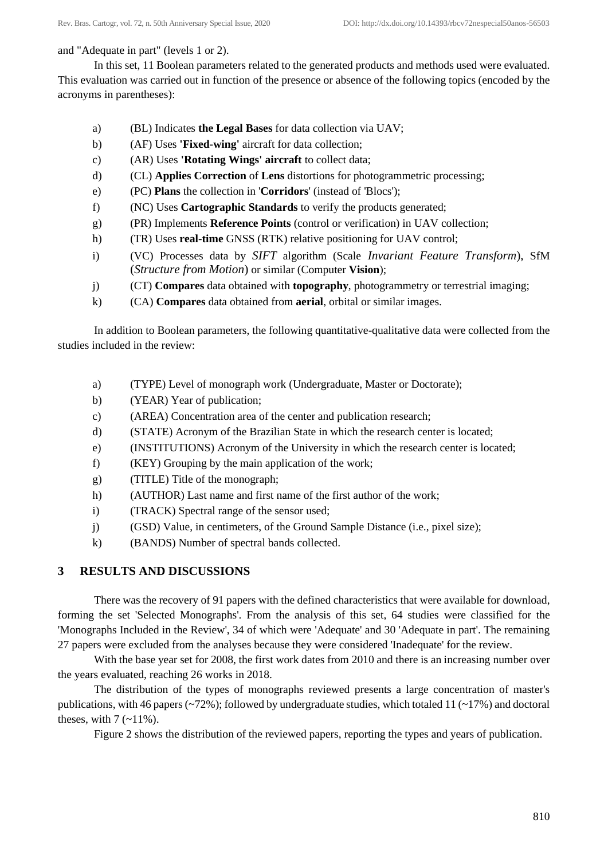### and "Adequate in part" (levels 1 or 2).

In this set, 11 Boolean parameters related to the generated products and methods used were evaluated. This evaluation was carried out in function of the presence or absence of the following topics (encoded by the acronyms in parentheses):

- a) (BL) Indicates **the Legal Bases** for data collection via UAV;
- b) (AF) Uses **'Fixed-wing'** aircraft for data collection;
- c) (AR) Uses **'Rotating Wings' aircraft** to collect data;
- d) (CL) **Applies Correction** of **Lens** distortions for photogrammetric processing;
- e) (PC) **Plans** the collection in '**Corridors**' (instead of 'Blocs');
- f) (NC) Uses **Cartographic Standards** to verify the products generated;
- g) (PR) Implements **Reference Points** (control or verification) in UAV collection;
- h) (TR) Uses **real-time** GNSS (RTK) relative positioning for UAV control;
- i) (VC) Processes data by *SIFT* algorithm (Scale *Invariant Feature Transform*), SfM (*Structure from Motion*) or similar (Computer **Vision**);
- j) (CT) **Compares** data obtained with **topography**, photogrammetry or terrestrial imaging;
- k) (CA) **Compares** data obtained from **aerial**, orbital or similar images.

In addition to Boolean parameters, the following quantitative-qualitative data were collected from the studies included in the review:

- a) (TYPE) Level of monograph work (Undergraduate, Master or Doctorate);
- b) (YEAR) Year of publication;
- c) (AREA) Concentration area of the center and publication research;
- d) (STATE) Acronym of the Brazilian State in which the research center is located;
- e) (INSTITUTIONS) Acronym of the University in which the research center is located;
- f) (KEY) Grouping by the main application of the work;
- g) (TITLE) Title of the monograph;
- h) (AUTHOR) Last name and first name of the first author of the work;
- i) (TRACK) Spectral range of the sensor used;
- j) (GSD) Value, in centimeters, of the Ground Sample Distance (i.e., pixel size);
- k) (BANDS) Number of spectral bands collected.

# **3 RESULTS AND DISCUSSIONS**

There was the recovery of 91 papers with the defined characteristics that were available for download, forming the set 'Selected Monographs'. From the analysis of this set, 64 studies were classified for the 'Monographs Included in the Review', 34 of which were 'Adequate' and 30 'Adequate in part'. The remaining 27 papers were excluded from the analyses because they were considered 'Inadequate' for the review.

With the base year set for 2008, the first work dates from 2010 and there is an increasing number over the years evaluated, reaching 26 works in 2018.

The distribution of the types of monographs reviewed presents a large concentration of master's publications, with 46 papers (~72%); followed by undergraduate studies, which totaled 11 (~17%) and doctoral theses, with  $7$  ( $\sim$ 11%).

Figure 2 shows the distribution of the reviewed papers, reporting the types and years of publication.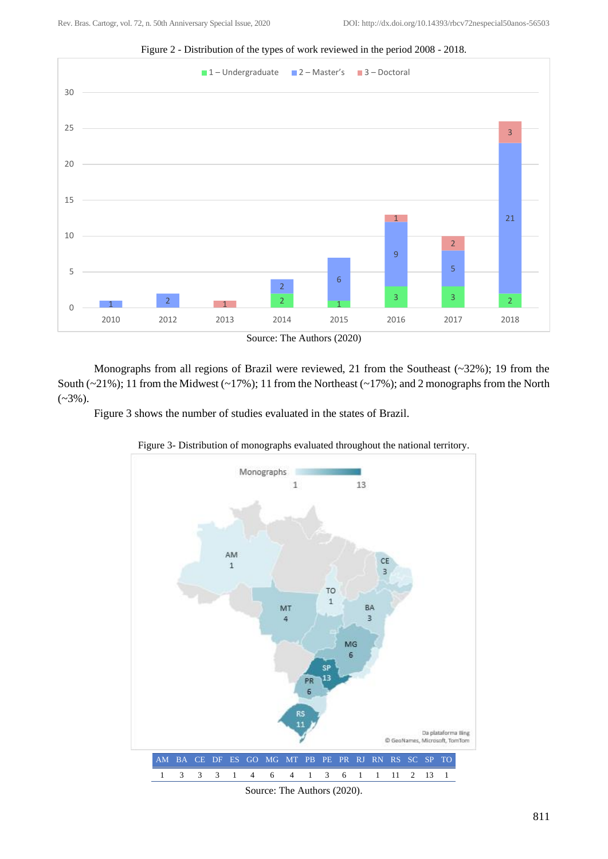

Figure 2 - Distribution of the types of work reviewed in the period 2008 - 2018.

Monographs from all regions of Brazil were reviewed, 21 from the Southeast (~32%); 19 from the South (~21%); 11 from the Midwest (~17%); 11 from the Northeast (~17%); and 2 monographs from the North  $(-3\%)$ .

Figure 3 shows the number of studies evaluated in the states of Brazil.



Figure 3- Distribution of monographs evaluated throughout the national territory.

Source: The Authors (2020).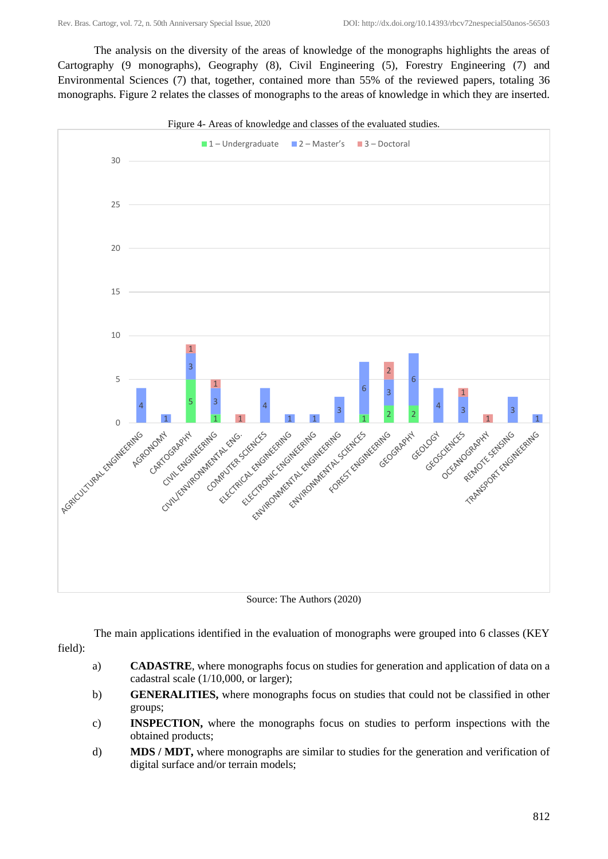The analysis on the diversity of the areas of knowledge of the monographs highlights the areas of Cartography (9 monographs), Geography (8), Civil Engineering (5), Forestry Engineering (7) and Environmental Sciences (7) that, together, contained more than 55% of the reviewed papers, totaling 36 monographs. Figure 2 relates the classes of monographs to the areas of knowledge in which they are inserted.



Source: The Authors (2020)

The main applications identified in the evaluation of monographs were grouped into 6 classes (KEY field):

- a) **CADASTRE**, where monographs focus on studies for generation and application of data on a cadastral scale (1/10,000, or larger);
- b) **GENERALITIES,** where monographs focus on studies that could not be classified in other groups;
- c) **INSPECTION,** where the monographs focus on studies to perform inspections with the obtained products;
- d) **MDS / MDT,** where monographs are similar to studies for the generation and verification of digital surface and/or terrain models;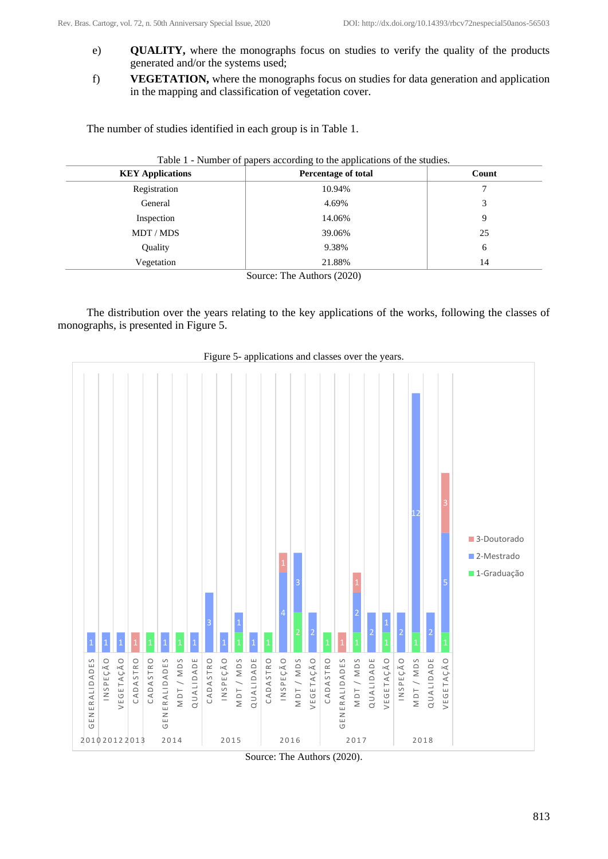- e) **QUALITY,** where the monographs focus on studies to verify the quality of the products generated and/or the systems used;
- f) **VEGETATION,** where the monographs focus on studies for data generation and application in the mapping and classification of vegetation cover.

The number of studies identified in each group is in Table 1.

| <b>KEY Applications</b> | <b>Percentage of total</b> | Count |
|-------------------------|----------------------------|-------|
| Registration            | 10.94%                     |       |
| General                 | 4.69%                      | 3     |
| Inspection              | 14.06%                     | 9     |
| MDT / MDS               | 39.06%                     | 25    |
| Quality                 | 9.38%                      | 6     |
| Vegetation              | 21.88%                     | 14    |
|                         | Source: The Authors (2020) |       |

The distribution over the years relating to the key applications of the works, following the classes of monographs, is presented in Figure 5.



Figure 5- applications and classes over the years.

Source: The Authors (2020).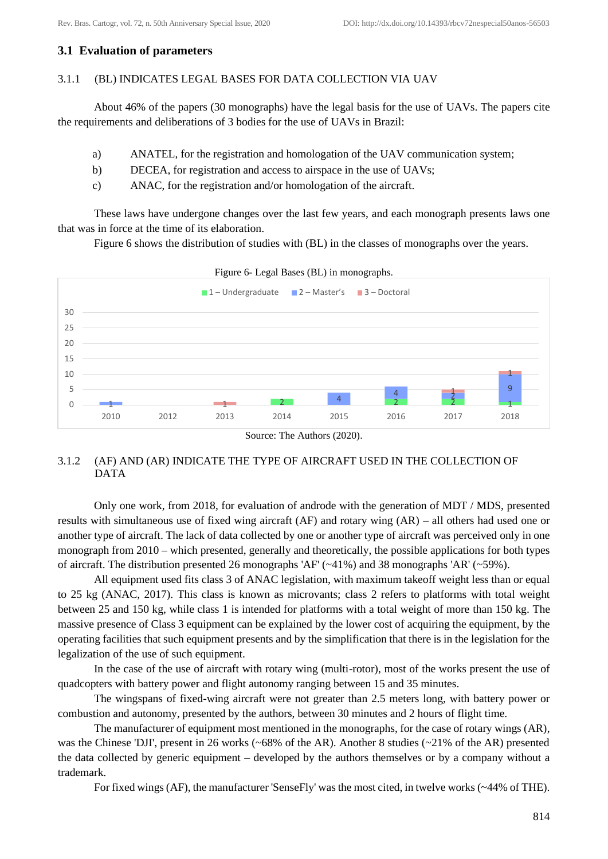# **3.1 Evaluation of parameters**

### 3.1.1 (BL) INDICATES LEGAL BASES FOR DATA COLLECTION VIA UAV

About 46% of the papers (30 monographs) have the legal basis for the use of UAVs. The papers cite the requirements and deliberations of 3 bodies for the use of UAVs in Brazil:

- a) ANATEL, for the registration and homologation of the UAV communication system;
- b) DECEA, for registration and access to airspace in the use of UAVs;
- c) ANAC, for the registration and/or homologation of the aircraft.

These laws have undergone changes over the last few years, and each monograph presents laws one that was in force at the time of its elaboration.

Figure 6 shows the distribution of studies with (BL) in the classes of monographs over the years.



#### 3.1.2 (AF) AND (AR) INDICATE THE TYPE OF AIRCRAFT USED IN THE COLLECTION OF DATA

Only one work, from 2018, for evaluation of androde with the generation of MDT / MDS, presented results with simultaneous use of fixed wing aircraft (AF) and rotary wing (AR) – all others had used one or another type of aircraft. The lack of data collected by one or another type of aircraft was perceived only in one monograph from 2010 – which presented, generally and theoretically, the possible applications for both types of aircraft. The distribution presented 26 monographs 'AF' (~41%) and 38 monographs 'AR' (~59%).

All equipment used fits class 3 of ANAC legislation, with maximum takeoff weight less than or equal to 25 kg (ANAC, 2017). This class is known as microvants; class 2 refers to platforms with total weight between 25 and 150 kg, while class 1 is intended for platforms with a total weight of more than 150 kg. The massive presence of Class 3 equipment can be explained by the lower cost of acquiring the equipment, by the operating facilities that such equipment presents and by the simplification that there is in the legislation for the legalization of the use of such equipment.

In the case of the use of aircraft with rotary wing (multi-rotor), most of the works present the use of quadcopters with battery power and flight autonomy ranging between 15 and 35 minutes.

The wingspans of fixed-wing aircraft were not greater than 2.5 meters long, with battery power or combustion and autonomy, presented by the authors, between 30 minutes and 2 hours of flight time.

The manufacturer of equipment most mentioned in the monographs, for the case of rotary wings (AR), was the Chinese 'DJI', present in 26 works (~68% of the AR). Another 8 studies (~21% of the AR) presented the data collected by generic equipment – developed by the authors themselves or by a company without a trademark.

For fixed wings (AF), the manufacturer 'SenseFly' was the most cited, in twelve works (~44% of THE).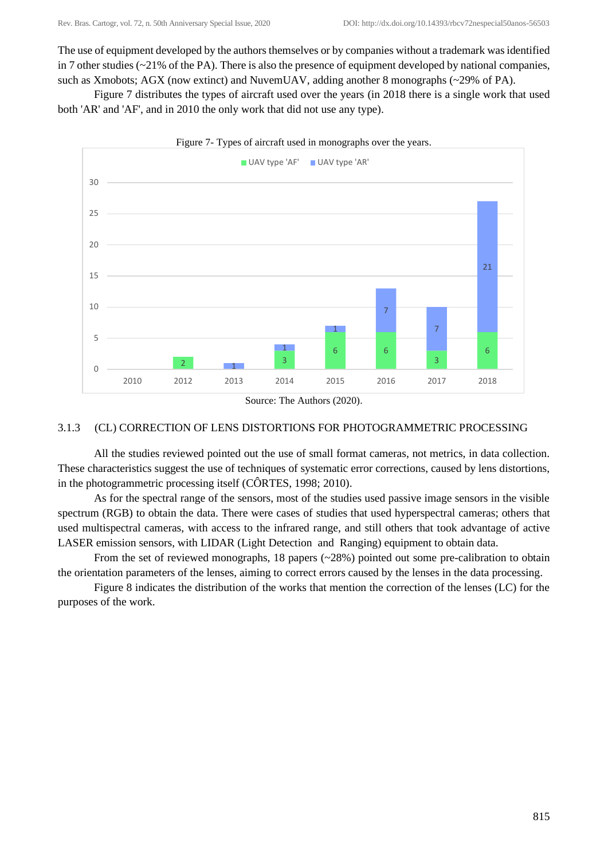The use of equipment developed by the authors themselves or by companies without a trademark was identified in 7 other studies (~21% of the PA). There is also the presence of equipment developed by national companies, such as Xmobots; AGX (now extinct) and NuvemUAV, adding another 8 monographs (~29% of PA).

Figure 7 distributes the types of aircraft used over the years (in 2018 there is a single work that used both 'AR' and 'AF', and in 2010 the only work that did not use any type).



Source: The Authors (2020).

#### 3.1.3 (CL) CORRECTION OF LENS DISTORTIONS FOR PHOTOGRAMMETRIC PROCESSING

All the studies reviewed pointed out the use of small format cameras, not metrics, in data collection. These characteristics suggest the use of techniques of systematic error corrections, caused by lens distortions, in the photogrammetric processing itself (CÔRTES, 1998; 2010).

As for the spectral range of the sensors, most of the studies used passive image sensors in the visible spectrum (RGB) to obtain the data. There were cases of studies that used hyperspectral cameras; others that used multispectral cameras, with access to the infrared range, and still others that took advantage of active LASER emission sensors, with LIDAR (Light Detection and Ranging) equipment to obtain data.

From the set of reviewed monographs, 18 papers  $(\sim 28\%)$  pointed out some pre-calibration to obtain the orientation parameters of the lenses, aiming to correct errors caused by the lenses in the data processing.

Figure 8 indicates the distribution of the works that mention the correction of the lenses (LC) for the purposes of the work.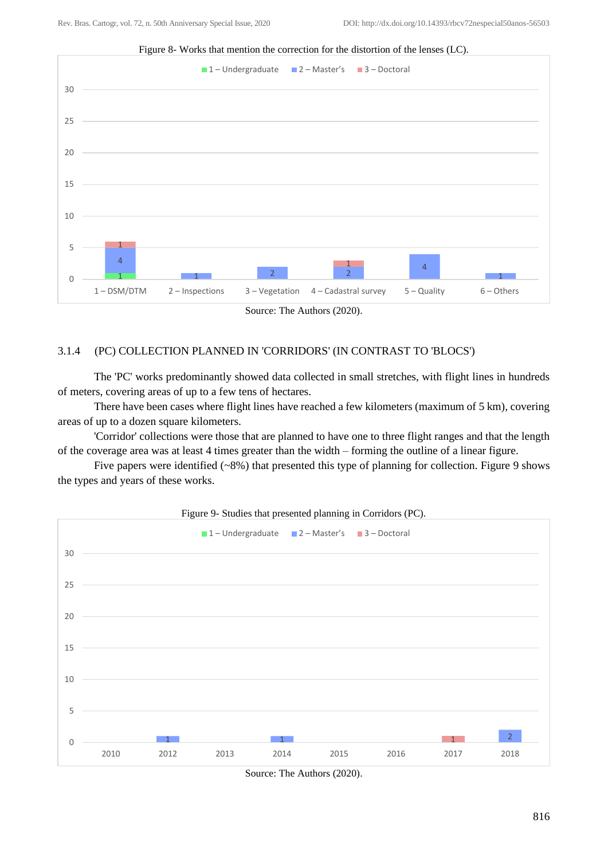

Figure 8- Works that mention the correction for the distortion of the lenses (LC).



### 3.1.4 (PC) COLLECTION PLANNED IN 'CORRIDORS' (IN CONTRAST TO 'BLOCS')

The 'PC' works predominantly showed data collected in small stretches, with flight lines in hundreds of meters, covering areas of up to a few tens of hectares.

There have been cases where flight lines have reached a few kilometers (maximum of 5 km), covering areas of up to a dozen square kilometers.

'Corridor' collections were those that are planned to have one to three flight ranges and that the length of the coverage area was at least 4 times greater than the width – forming the outline of a linear figure.

Five papers were identified (~8%) that presented this type of planning for collection. Figure 9 shows the types and years of these works.



Figure 9- Studies that presented planning in Corridors (PC).

Source: The Authors (2020).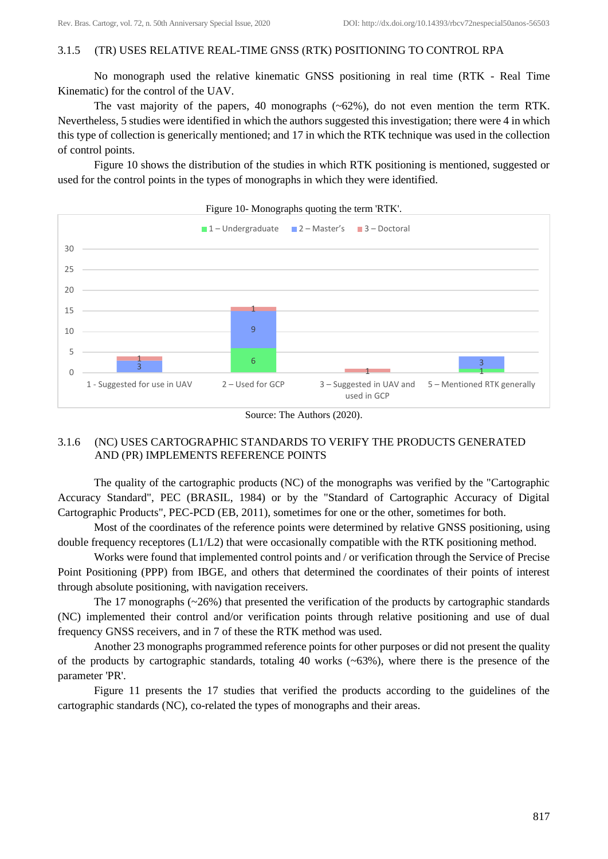### 3.1.5 (TR) USES RELATIVE REAL-TIME GNSS (RTK) POSITIONING TO CONTROL RPA

No monograph used the relative kinematic GNSS positioning in real time (RTK - Real Time Kinematic) for the control of the UAV.

The vast majority of the papers, 40 monographs (~62%), do not even mention the term RTK. Nevertheless, 5 studies were identified in which the authors suggested this investigation; there were 4 in which this type of collection is generically mentioned; and 17 in which the RTK technique was used in the collection of control points.

Figure 10 shows the distribution of the studies in which RTK positioning is mentioned, suggested or used for the control points in the types of monographs in which they were identified.



Figure 10- Monographs quoting the term 'RTK'.



### 3.1.6 (NC) USES CARTOGRAPHIC STANDARDS TO VERIFY THE PRODUCTS GENERATED AND (PR) IMPLEMENTS REFERENCE POINTS

The quality of the cartographic products (NC) of the monographs was verified by the "Cartographic Accuracy Standard", PEC (BRASIL, 1984) or by the "Standard of Cartographic Accuracy of Digital Cartographic Products", PEC-PCD (EB, 2011), sometimes for one or the other, sometimes for both.

Most of the coordinates of the reference points were determined by relative GNSS positioning, using double frequency receptores  $(L1/L2)$  that were occasionally compatible with the RTK positioning method.

Works were found that implemented control points and / or verification through the Service of Precise Point Positioning (PPP) from IBGE, and others that determined the coordinates of their points of interest through absolute positioning, with navigation receivers.

The 17 monographs  $(\sim 26\%)$  that presented the verification of the products by cartographic standards (NC) implemented their control and/or verification points through relative positioning and use of dual frequency GNSS receivers, and in 7 of these the RTK method was used.

Another 23 monographs programmed reference points for other purposes or did not present the quality of the products by cartographic standards, totaling 40 works (~63%), where there is the presence of the parameter 'PR'.

Figure 11 presents the 17 studies that verified the products according to the guidelines of the cartographic standards (NC), co-related the types of monographs and their areas.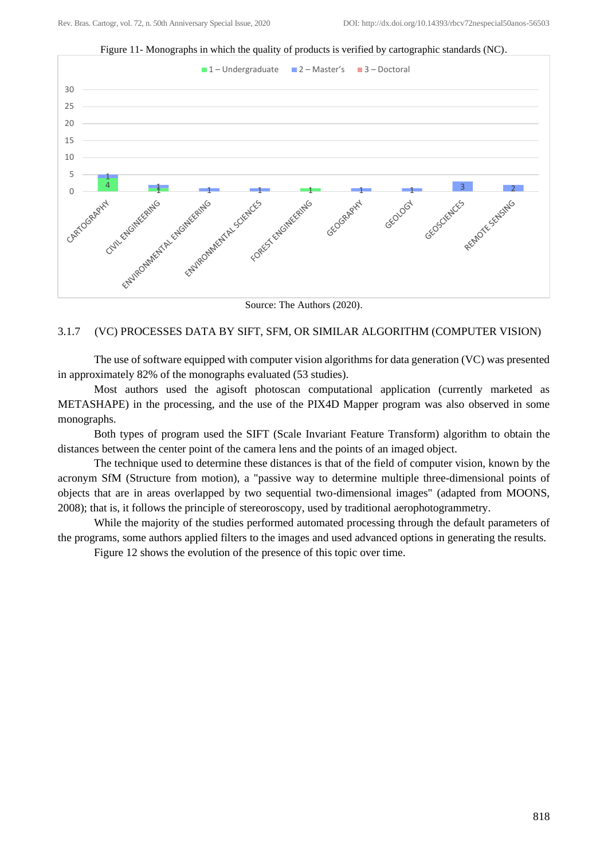

Figure 11- Monographs in which the quality of products is verified by cartographic standards (NC).

Source: The Authors (2020).

### 3.1.7 (VC) PROCESSES DATA BY SIFT, SFM, OR SIMILAR ALGORITHM (COMPUTER VISION)

The use of software equipped with computer vision algorithms for data generation (VC) was presented in approximately 82% of the monographs evaluated (53 studies).

Most authors used the agisoft photoscan computational application (currently marketed as METASHAPE) in the processing, and the use of the PIX4D Mapper program was also observed in some monographs.

Both types of program used the SIFT (Scale Invariant Feature Transform) algorithm to obtain the distances between the center point of the camera lens and the points of an imaged object.

The technique used to determine these distances is that of the field of computer vision, known by the acronym SfM (Structure from motion), a "passive way to determine multiple three-dimensional points of objects that are in areas overlapped by two sequential two-dimensional images" (adapted from MOONS, 2008); that is, it follows the principle of stereoroscopy, used by traditional aerophotogrammetry.

While the majority of the studies performed automated processing through the default parameters of the programs, some authors applied filters to the images and used advanced options in generating the results.

Figure 12 shows the evolution of the presence of this topic over time.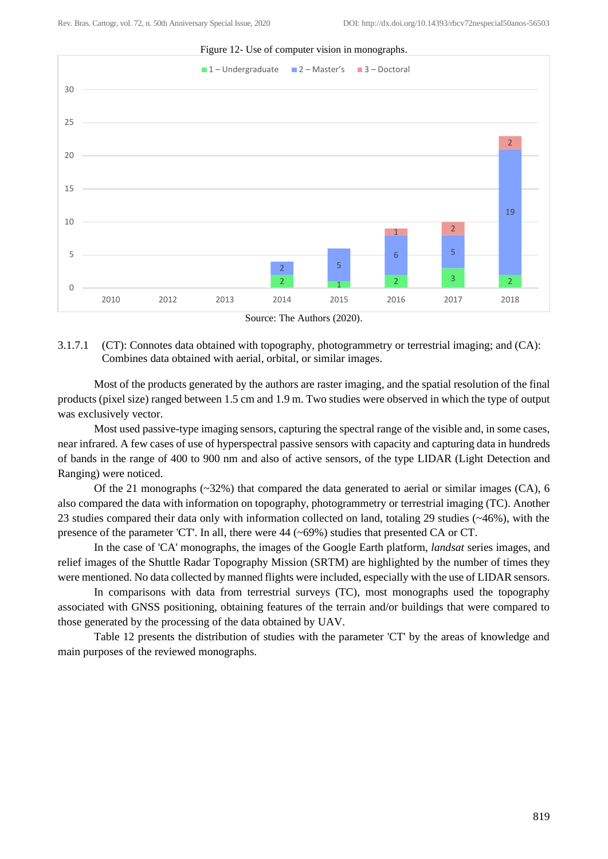

Source: The Authors (2020).

#### 3.1.7.1 (CT): Connotes data obtained with topography, photogrammetry or terrestrial imaging; and (CA): Combines data obtained with aerial, orbital, or similar images.

Most of the products generated by the authors are raster imaging, and the spatial resolution of the final products (pixel size) ranged between 1.5 cm and 1.9 m. Two studies were observed in which the type of output was exclusively vector.

Most used passive-type imaging sensors, capturing the spectral range of the visible and, in some cases, near infrared. A few cases of use of hyperspectral passive sensors with capacity and capturing data in hundreds of bands in the range of 400 to 900 nm and also of active sensors, of the type LIDAR (Light Detection and Ranging) were noticed.

Of the 21 monographs (~32%) that compared the data generated to aerial or similar images (CA), 6 also compared the data with information on topography, photogrammetry or terrestrial imaging (TC). Another 23 studies compared their data only with information collected on land, totaling 29 studies (~46%), with the presence of the parameter 'CT'. In all, there were  $44$  ( $\sim$ 69%) studies that presented CA or CT.

In the case of 'CA' monographs, the images of the Google Earth platform, *landsat* series images, and relief images of the Shuttle Radar Topography Mission (SRTM) are highlighted by the number of times they were mentioned. No data collected by manned flights were included, especially with the use of LIDAR sensors.

In comparisons with data from terrestrial surveys (TC), most monographs used the topography associated with GNSS positioning, obtaining features of the terrain and/or buildings that were compared to those generated by the processing of the data obtained by UAV.

Table 12 presents the distribution of studies with the parameter 'CT' by the areas of knowledge and main purposes of the reviewed monographs.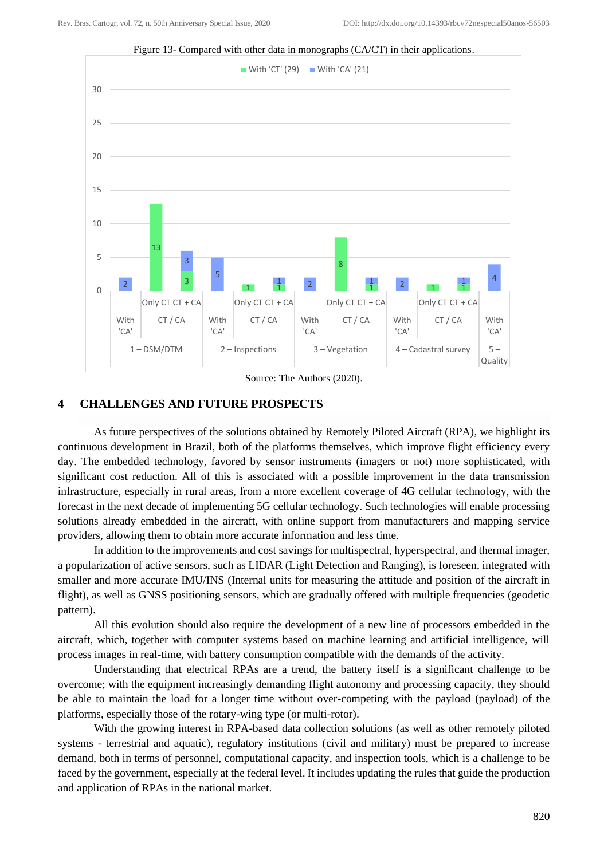



Source: The Authors (2020).

### **4 CHALLENGES AND FUTURE PROSPECTS**

As future perspectives of the solutions obtained by Remotely Piloted Aircraft (RPA), we highlight its continuous development in Brazil, both of the platforms themselves, which improve flight efficiency every day. The embedded technology, favored by sensor instruments (imagers or not) more sophisticated, with significant cost reduction. All of this is associated with a possible improvement in the data transmission infrastructure, especially in rural areas, from a more excellent coverage of 4G cellular technology, with the forecast in the next decade of implementing 5G cellular technology. Such technologies will enable processing solutions already embedded in the aircraft, with online support from manufacturers and mapping service providers, allowing them to obtain more accurate information and less time.

In addition to the improvements and cost savings for multispectral, hyperspectral, and thermal imager, a popularization of active sensors, such as LIDAR (Light Detection and Ranging), is foreseen, integrated with smaller and more accurate IMU/INS (Internal units for measuring the attitude and position of the aircraft in flight), as well as GNSS positioning sensors, which are gradually offered with multiple frequencies (geodetic pattern).

All this evolution should also require the development of a new line of processors embedded in the aircraft, which, together with computer systems based on machine learning and artificial intelligence, will process images in real-time, with battery consumption compatible with the demands of the activity.

Understanding that electrical RPAs are a trend, the battery itself is a significant challenge to be overcome; with the equipment increasingly demanding flight autonomy and processing capacity, they should be able to maintain the load for a longer time without over-competing with the payload (payload) of the platforms, especially those of the rotary-wing type (or multi-rotor).

With the growing interest in RPA-based data collection solutions (as well as other remotely piloted systems - terrestrial and aquatic), regulatory institutions (civil and military) must be prepared to increase demand, both in terms of personnel, computational capacity, and inspection tools, which is a challenge to be faced by the government, especially at the federal level. It includes updating the rules that guide the production and application of RPAs in the national market.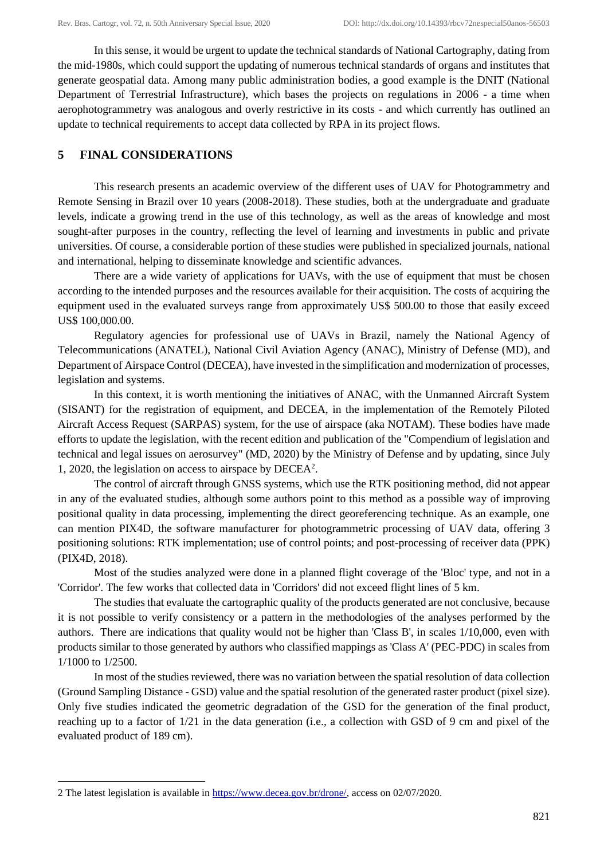In this sense, it would be urgent to update the technical standards of National Cartography, dating from the mid-1980s, which could support the updating of numerous technical standards of organs and institutes that generate geospatial data. Among many public administration bodies, a good example is the DNIT (National Department of Terrestrial Infrastructure), which bases the projects on regulations in 2006 - a time when aerophotogrammetry was analogous and overly restrictive in its costs - and which currently has outlined an update to technical requirements to accept data collected by RPA in its project flows.

# **5 FINAL CONSIDERATIONS**

This research presents an academic overview of the different uses of UAV for Photogrammetry and Remote Sensing in Brazil over 10 years (2008-2018). These studies, both at the undergraduate and graduate levels, indicate a growing trend in the use of this technology, as well as the areas of knowledge and most sought-after purposes in the country, reflecting the level of learning and investments in public and private universities. Of course, a considerable portion of these studies were published in specialized journals, national and international, helping to disseminate knowledge and scientific advances.

There are a wide variety of applications for UAVs, with the use of equipment that must be chosen according to the intended purposes and the resources available for their acquisition. The costs of acquiring the equipment used in the evaluated surveys range from approximately US\$ 500.00 to those that easily exceed US\$ 100,000.00.

Regulatory agencies for professional use of UAVs in Brazil, namely the National Agency of Telecommunications (ANATEL), National Civil Aviation Agency (ANAC), Ministry of Defense (MD), and Department of Airspace Control (DECEA), have invested in the simplification and modernization of processes, legislation and systems.

In this context, it is worth mentioning the initiatives of ANAC, with the Unmanned Aircraft System (SISANT) for the registration of equipment, and DECEA, in the implementation of the Remotely Piloted Aircraft Access Request (SARPAS) system, for the use of airspace (aka NOTAM). These bodies have made efforts to update the legislation, with the recent edition and publication of the "Compendium of legislation and technical and legal issues on aerosurvey" (MD, 2020) by the Ministry of Defense and by updating, since July 1, 2020, the legislation on access to airspace by DECEA<sup>2</sup> .

The control of aircraft through GNSS systems, which use the RTK positioning method, did not appear in any of the evaluated studies, although some authors point to this method as a possible way of improving positional quality in data processing, implementing the direct georeferencing technique. As an example, one can mention PIX4D, the software manufacturer for photogrammetric processing of UAV data, offering 3 positioning solutions: RTK implementation; use of control points; and post-processing of receiver data (PPK) (PIX4D, 2018).

Most of the studies analyzed were done in a planned flight coverage of the 'Bloc' type, and not in a 'Corridor'. The few works that collected data in 'Corridors' did not exceed flight lines of 5 km.

The studies that evaluate the cartographic quality of the products generated are not conclusive, because it is not possible to verify consistency or a pattern in the methodologies of the analyses performed by the authors. There are indications that quality would not be higher than 'Class B', in scales 1/10,000, even with products similar to those generated by authors who classified mappings as 'Class A' (PEC-PDC) in scales from 1/1000 to 1/2500.

In most of the studies reviewed, there was no variation between the spatial resolution of data collection (Ground Sampling Distance - GSD) value and the spatial resolution of the generated raster product (pixel size). Only five studies indicated the geometric degradation of the GSD for the generation of the final product, reaching up to a factor of 1/21 in the data generation (i.e., a collection with GSD of 9 cm and pixel of the evaluated product of 189 cm).

<sup>2</sup> The latest legislation is available in [https://www.decea.gov.br/drone/,](https://www.decea.gov.br/drone/) access on 02/07/2020.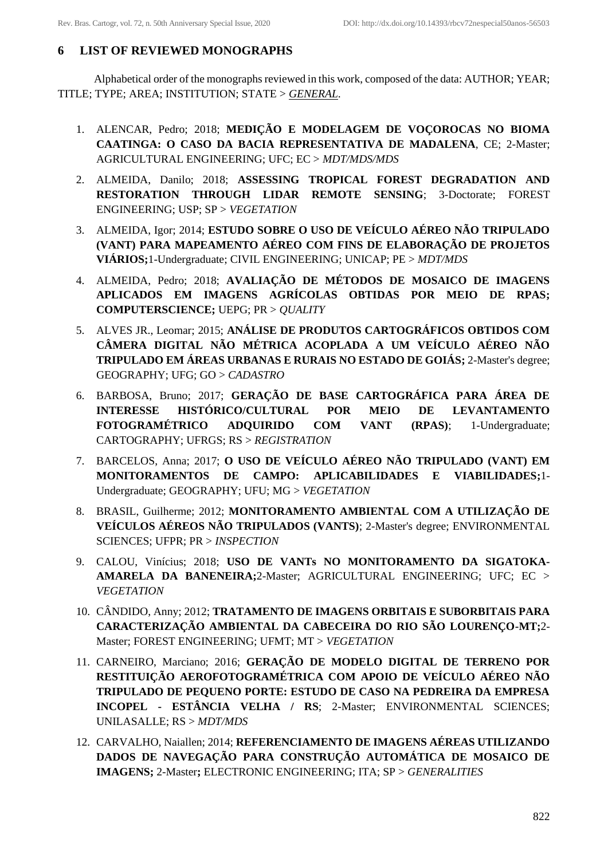# **6 LIST OF REVIEWED MONOGRAPHS**

Alphabetical order of the monographs reviewed in this work, composed of the data: AUTHOR; YEAR; TITLE; TYPE; AREA; INSTITUTION; STATE > *GENERAL*.

- 1. ALENCAR, Pedro; 2018; **MEDIÇÃO E MODELAGEM DE VOÇOROCAS NO BIOMA CAATINGA: O CASO DA BACIA REPRESENTATIVA DE MADALENA**, CE; 2-Master; AGRICULTURAL ENGINEERING; UFC; EC > *MDT/MDS/MDS*
- 2. ALMEIDA, Danilo; 2018; **ASSESSING TROPICAL FOREST DEGRADATION AND RESTORATION THROUGH LIDAR REMOTE SENSING**; 3-Doctorate; FOREST ENGINEERING; USP; SP > *VEGETATION*
- 3. ALMEIDA, Igor; 2014; **ESTUDO SOBRE O USO DE VEÍCULO AÉREO NÃO TRIPULADO (VANT) PARA MAPEAMENTO AÉREO COM FINS DE ELABORAÇÃO DE PROJETOS VIÁRIOS;**1-Undergraduate; CIVIL ENGINEERING; UNICAP; PE > *MDT/MDS*
- 4. ALMEIDA, Pedro; 2018; **AVALIAÇÃO DE MÉTODOS DE MOSAICO DE IMAGENS APLICADOS EM IMAGENS AGRÍCOLAS OBTIDAS POR MEIO DE RPAS; COMPUTERSCIENCE;** UEPG; PR > *QUALITY*
- 5. ALVES JR., Leomar; 2015; **ANÁLISE DE PRODUTOS CARTOGRÁFICOS OBTIDOS COM CÂMERA DIGITAL NÃO MÉTRICA ACOPLADA A UM VEÍCULO AÉREO NÃO TRIPULADO EM ÁREAS URBANAS E RURAIS NO ESTADO DE GOIÁS;** 2-Master's degree; GEOGRAPHY; UFG; GO > *CADASTRO*
- 6. BARBOSA, Bruno; 2017; **GERAÇÃO DE BASE CARTOGRÁFICA PARA ÁREA DE INTERESSE HISTÓRICO/CULTURAL POR MEIO DE LEVANTAMENTO FOTOGRAMÉTRICO ADQUIRIDO COM VANT (RPAS)**; 1-Undergraduate; CARTOGRAPHY; UFRGS; RS > *REGISTRATION*
- 7. BARCELOS, Anna; 2017; **O USO DE VEÍCULO AÉREO NÃO TRIPULADO (VANT) EM MONITORAMENTOS DE CAMPO: APLICABILIDADES E VIABILIDADES;**1- Undergraduate; GEOGRAPHY; UFU; MG > *VEGETATION*
- 8. BRASIL, Guilherme; 2012; **MONITORAMENTO AMBIENTAL COM A UTILIZAÇÃO DE VEÍCULOS AÉREOS NÃO TRIPULADOS (VANTS)**; 2-Master's degree; ENVIRONMENTAL SCIENCES; UFPR; PR > *INSPECTION*
- 9. CALOU, Vinícius; 2018; **USO DE VANTs NO MONITORAMENTO DA SIGATOKA-AMARELA DA BANENEIRA;**2-Master; AGRICULTURAL ENGINEERING; UFC; EC > *VEGETATION*
- 10. CÂNDIDO, Anny; 2012; **TRATAMENTO DE IMAGENS ORBITAIS E SUBORBITAIS PARA CARACTERIZAÇÃO AMBIENTAL DA CABECEIRA DO RIO SÃO LOURENÇO-MT;**2- Master; FOREST ENGINEERING; UFMT; MT > *VEGETATION*
- 11. CARNEIRO, Marciano; 2016; **GERAÇÃO DE MODELO DIGITAL DE TERRENO POR RESTITUIÇÃO AEROFOTOGRAMÉTRICA COM APOIO DE VEÍCULO AÉREO NÃO TRIPULADO DE PEQUENO PORTE: ESTUDO DE CASO NA PEDREIRA DA EMPRESA INCOPEL - ESTÂNCIA VELHA / RS**; 2-Master; ENVIRONMENTAL SCIENCES; UNILASALLE; RS > *MDT/MDS*
- 12. CARVALHO, Naiallen; 2014; **REFERENCIAMENTO DE IMAGENS AÉREAS UTILIZANDO DADOS DE NAVEGAÇÃO PARA CONSTRUÇÃO AUTOMÁTICA DE MOSAICO DE IMAGENS;** 2-Master**;** ELECTRONIC ENGINEERING; ITA; SP > *GENERALITIES*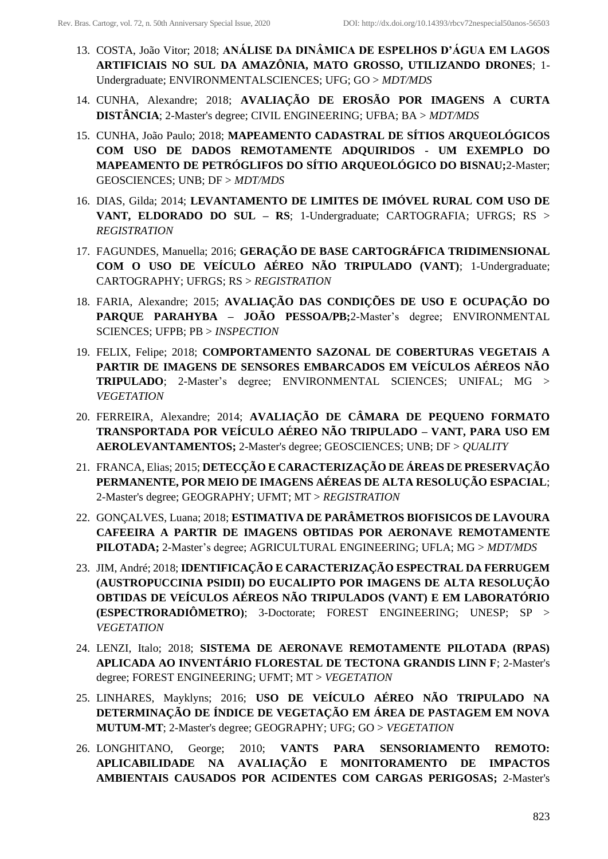- 13. COSTA, João Vitor; 2018; **ANÁLISE DA DINÂMICA DE ESPELHOS D'ÁGUA EM LAGOS ARTIFICIAIS NO SUL DA AMAZÔNIA, MATO GROSSO, UTILIZANDO DRONES**; 1- Undergraduate; ENVIRONMENTALSCIENCES; UFG; GO > *MDT/MDS*
- 14. CUNHA, Alexandre; 2018; **AVALIAÇÃO DE EROSÃO POR IMAGENS A CURTA DISTÂNCIA**; 2-Master's degree; CIVIL ENGINEERING; UFBA; BA > *MDT/MDS*
- 15. CUNHA, João Paulo; 2018; **MAPEAMENTO CADASTRAL DE SÍTIOS ARQUEOLÓGICOS COM USO DE DADOS REMOTAMENTE ADQUIRIDOS - UM EXEMPLO DO MAPEAMENTO DE PETRÓGLIFOS DO SÍTIO ARQUEOLÓGICO DO BISNAU;**2-Master; GEOSCIENCES; UNB; DF > *MDT/MDS*
- 16. DIAS, Gilda; 2014; **LEVANTAMENTO DE LIMITES DE IMÓVEL RURAL COM USO DE VANT, ELDORADO DO SUL – RS**; 1-Undergraduate; CARTOGRAFIA; UFRGS; RS > *REGISTRATION*
- 17. FAGUNDES, Manuella; 2016; **GERAÇÃO DE BASE CARTOGRÁFICA TRIDIMENSIONAL COM O USO DE VEÍCULO AÉREO NÃO TRIPULADO (VANT)**; 1-Undergraduate; CARTOGRAPHY; UFRGS; RS > *REGISTRATION*
- 18. FARIA, Alexandre; 2015; **AVALIAÇÃO DAS CONDIÇÕES DE USO E OCUPAÇÃO DO PARQUE PARAHYBA – JOÃO PESSOA/PB;**2-Master's degree; ENVIRONMENTAL SCIENCES; UFPB; PB > *INSPECTION*
- 19. FELIX, Felipe; 2018; **COMPORTAMENTO SAZONAL DE COBERTURAS VEGETAIS A PARTIR DE IMAGENS DE SENSORES EMBARCADOS EM VEÍCULOS AÉREOS NÃO TRIPULADO**; 2-Master's degree; ENVIRONMENTAL SCIENCES; UNIFAL; MG > *VEGETATION*
- 20. FERREIRA, Alexandre; 2014; **AVALIAÇÃO DE CÂMARA DE PEQUENO FORMATO TRANSPORTADA POR VEÍCULO AÉREO NÃO TRIPULADO – VANT, PARA USO EM AEROLEVANTAMENTOS;** 2-Master's degree; GEOSCIENCES; UNB; DF > *QUALITY*
- 21. FRANCA, Elias; 2015; **DETECÇÃO E CARACTERIZAÇÃO DE ÁREAS DE PRESERVAÇÃO PERMANENTE, POR MEIO DE IMAGENS AÉREAS DE ALTA RESOLUÇÃO ESPACIAL**; 2-Master's degree; GEOGRAPHY; UFMT; MT > *REGISTRATION*
- 22. GONÇALVES, Luana; 2018; **ESTIMATIVA DE PARÂMETROS BIOFISICOS DE LAVOURA CAFEEIRA A PARTIR DE IMAGENS OBTIDAS POR AERONAVE REMOTAMENTE PILOTADA;** 2-Master's degree; AGRICULTURAL ENGINEERING; UFLA; MG > *MDT/MDS*
- 23. JIM, André; 2018; **IDENTIFICAÇÃO E CARACTERIZAÇÃO ESPECTRAL DA FERRUGEM (AUSTROPUCCINIA PSIDII) DO EUCALIPTO POR IMAGENS DE ALTA RESOLUÇÃO OBTIDAS DE VEÍCULOS AÉREOS NÃO TRIPULADOS (VANT) E EM LABORATÓRIO (ESPECTRORADIÔMETRO)**; 3-Doctorate; FOREST ENGINEERING; UNESP; SP > *VEGETATION*
- 24. LENZI, Italo; 2018; **SISTEMA DE AERONAVE REMOTAMENTE PILOTADA (RPAS) APLICADA AO INVENTÁRIO FLORESTAL DE TECTONA GRANDIS LINN F**; 2-Master's degree; FOREST ENGINEERING; UFMT; MT > *VEGETATION*
- 25. LINHARES, Mayklyns; 2016; **USO DE VEÍCULO AÉREO NÃO TRIPULADO NA DETERMINAÇÃO DE ÍNDICE DE VEGETAÇÃO EM ÁREA DE PASTAGEM EM NOVA MUTUM-MT**; 2-Master's degree; GEOGRAPHY; UFG; GO > *VEGETATION*
- 26. LONGHITANO, George; 2010; **VANTS PARA SENSORIAMENTO REMOTO: APLICABILIDADE NA AVALIAÇÃO E MONITORAMENTO DE IMPACTOS AMBIENTAIS CAUSADOS POR ACIDENTES COM CARGAS PERIGOSAS;** 2-Master's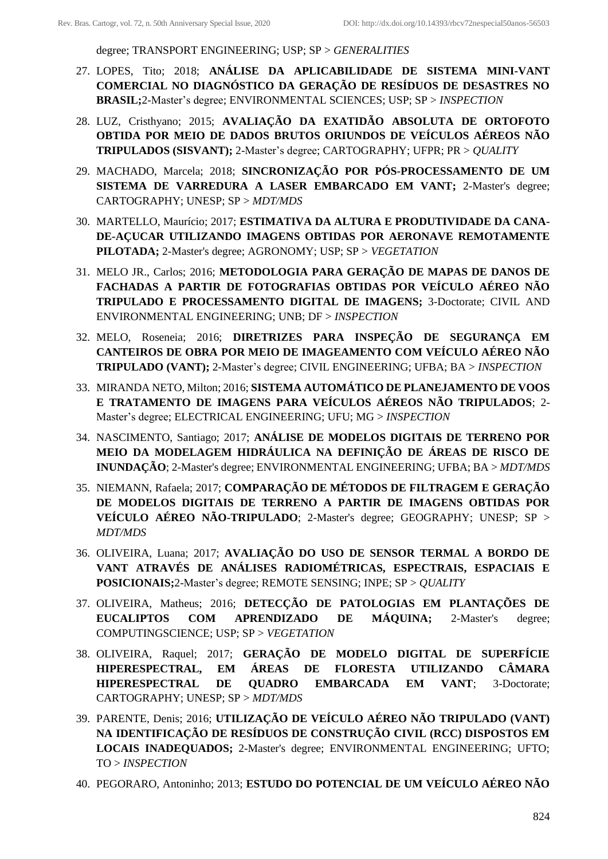degree; TRANSPORT ENGINEERING; USP; SP > *GENERALITIES*

- 27. LOPES, Tito; 2018; **ANÁLISE DA APLICABILIDADE DE SISTEMA MINI-VANT COMERCIAL NO DIAGNÓSTICO DA GERAÇÃO DE RESÍDUOS DE DESASTRES NO BRASIL;**2-Master's degree; ENVIRONMENTAL SCIENCES; USP; SP > *INSPECTION*
- 28. LUZ, Cristhyano; 2015; **AVALIAÇÃO DA EXATIDÃO ABSOLUTA DE ORTOFOTO OBTIDA POR MEIO DE DADOS BRUTOS ORIUNDOS DE VEÍCULOS AÉREOS NÃO TRIPULADOS (SISVANT);** 2-Master's degree; CARTOGRAPHY; UFPR; PR > *QUALITY*
- 29. MACHADO, Marcela; 2018; **SINCRONIZAÇÃO POR PÓS-PROCESSAMENTO DE UM SISTEMA DE VARREDURA A LASER EMBARCADO EM VANT;** 2-Master's degree; CARTOGRAPHY; UNESP; SP > *MDT/MDS*
- 30. MARTELLO, Maurício; 2017; **ESTIMATIVA DA ALTURA E PRODUTIVIDADE DA CANA-DE-AÇUCAR UTILIZANDO IMAGENS OBTIDAS POR AERONAVE REMOTAMENTE PILOTADA;** 2-Master's degree; AGRONOMY; USP; SP > *VEGETATION*
- 31. MELO JR., Carlos; 2016; **METODOLOGIA PARA GERAÇÃO DE MAPAS DE DANOS DE FACHADAS A PARTIR DE FOTOGRAFIAS OBTIDAS POR VEÍCULO AÉREO NÃO TRIPULADO E PROCESSAMENTO DIGITAL DE IMAGENS;** 3-Doctorate; CIVIL AND ENVIRONMENTAL ENGINEERING; UNB; DF > *INSPECTION*
- 32. MELO, Roseneia; 2016; **DIRETRIZES PARA INSPEÇÃO DE SEGURANÇA EM CANTEIROS DE OBRA POR MEIO DE IMAGEAMENTO COM VEÍCULO AÉREO NÃO TRIPULADO (VANT);** 2-Master's degree; CIVIL ENGINEERING; UFBA; BA > *INSPECTION*
- 33. MIRANDA NETO, Milton; 2016; **SISTEMA AUTOMÁTICO DE PLANEJAMENTO DE VOOS E TRATAMENTO DE IMAGENS PARA VEÍCULOS AÉREOS NÃO TRIPULADOS**; 2- Master's degree; ELECTRICAL ENGINEERING; UFU; MG > *INSPECTION*
- 34. NASCIMENTO, Santiago; 2017; **ANÁLISE DE MODELOS DIGITAIS DE TERRENO POR MEIO DA MODELAGEM HIDRÁULICA NA DEFINIÇÃO DE ÁREAS DE RISCO DE INUNDAÇÃO**; 2-Master's degree; ENVIRONMENTAL ENGINEERING; UFBA; BA > *MDT/MDS*
- 35. NIEMANN, Rafaela; 2017; **COMPARAÇÃO DE MÉTODOS DE FILTRAGEM E GERAÇÃO DE MODELOS DIGITAIS DE TERRENO A PARTIR DE IMAGENS OBTIDAS POR VEÍCULO AÉREO NÃO-TRIPULADO**; 2-Master's degree; GEOGRAPHY; UNESP; SP > *MDT/MDS*
- 36. OLIVEIRA, Luana; 2017; **AVALIAÇÃO DO USO DE SENSOR TERMAL A BORDO DE VANT ATRAVÉS DE ANÁLISES RADIOMÉTRICAS, ESPECTRAIS, ESPACIAIS E POSICIONAIS;**2-Master's degree; REMOTE SENSING; INPE; SP > *QUALITY*
- 37. OLIVEIRA, Matheus; 2016; **DETECÇÃO DE PATOLOGIAS EM PLANTAÇÕES DE EUCALIPTOS COM APRENDIZADO DE MÁQUINA;** 2-Master's degree; COMPUTINGSCIENCE; USP; SP > *VEGETATION*
- 38. OLIVEIRA, Raquel; 2017; **GERAÇÃO DE MODELO DIGITAL DE SUPERFÍCIE HIPERESPECTRAL, EM ÁREAS DE FLORESTA UTILIZANDO CÂMARA HIPERESPECTRAL DE QUADRO EMBARCADA EM VANT**; 3-Doctorate; CARTOGRAPHY; UNESP; SP > *MDT/MDS*
- 39. PARENTE, Denis; 2016; **UTILIZAÇÃO DE VEÍCULO AÉREO NÃO TRIPULADO (VANT) NA IDENTIFICAÇÃO DE RESÍDUOS DE CONSTRUÇÃO CIVIL (RCC) DISPOSTOS EM LOCAIS INADEQUADOS;** 2-Master's degree; ENVIRONMENTAL ENGINEERING; UFTO; TO > *INSPECTION*
- 40. PEGORARO, Antoninho; 2013; **ESTUDO DO POTENCIAL DE UM VEÍCULO AÉREO NÃO**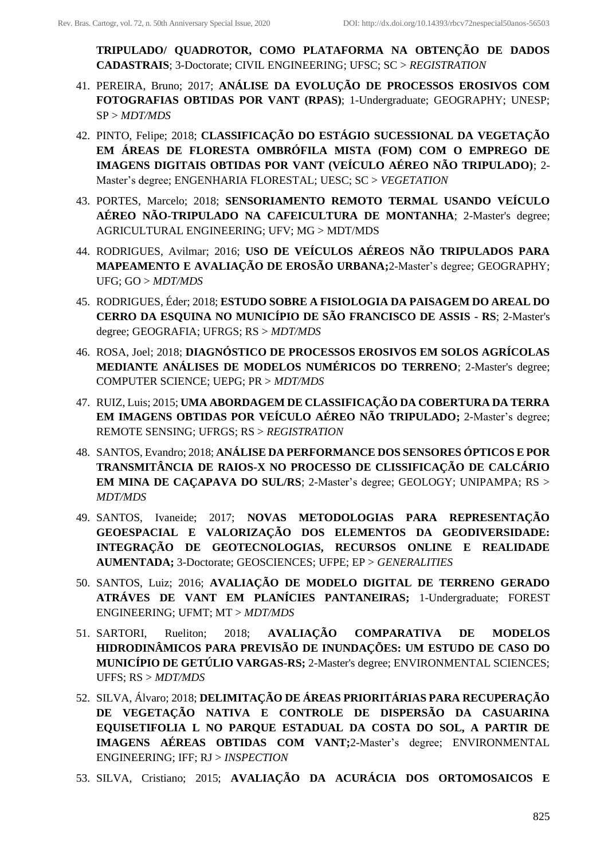**TRIPULADO/ QUADROTOR, COMO PLATAFORMA NA OBTENÇÃO DE DADOS CADASTRAIS**; 3-Doctorate; CIVIL ENGINEERING; UFSC; SC > *REGISTRATION*

- 41. PEREIRA, Bruno; 2017; **ANÁLISE DA EVOLUÇÃO DE PROCESSOS EROSIVOS COM FOTOGRAFIAS OBTIDAS POR VANT (RPAS)**; 1-Undergraduate; GEOGRAPHY; UNESP; SP > *MDT/MDS*
- 42. PINTO, Felipe; 2018; **CLASSIFICAÇÃO DO ESTÁGIO SUCESSIONAL DA VEGETAÇÃO EM ÁREAS DE FLORESTA OMBRÓFILA MISTA (FOM) COM O EMPREGO DE IMAGENS DIGITAIS OBTIDAS POR VANT (VEÍCULO AÉREO NÃO TRIPULADO)**; 2- Master's degree; ENGENHARIA FLORESTAL; UESC; SC > *VEGETATION*
- 43. PORTES, Marcelo; 2018; **SENSORIAMENTO REMOTO TERMAL USANDO VEÍCULO AÉREO NÃO-TRIPULADO NA CAFEICULTURA DE MONTANHA**; 2-Master's degree; AGRICULTURAL ENGINEERING; UFV; MG > MDT/MDS
- 44. RODRIGUES, Avilmar; 2016; **USO DE VEÍCULOS AÉREOS NÃO TRIPULADOS PARA MAPEAMENTO E AVALIAÇÃO DE EROSÃO URBANA;**2-Master's degree; GEOGRAPHY; UFG; GO > *MDT/MDS*
- 45. RODRIGUES, Éder; 2018; **ESTUDO SOBRE A FISIOLOGIA DA PAISAGEM DO AREAL DO CERRO DA ESQUINA NO MUNICÍPIO DE SÃO FRANCISCO DE ASSIS - RS**; 2-Master's degree; GEOGRAFIA; UFRGS; RS > *MDT/MDS*
- 46. ROSA, Joel; 2018; **DIAGNÓSTICO DE PROCESSOS EROSIVOS EM SOLOS AGRÍCOLAS MEDIANTE ANÁLISES DE MODELOS NUMÉRICOS DO TERRENO**; 2-Master's degree; COMPUTER SCIENCE; UEPG; PR > *MDT/MDS*
- 47. RUIZ, Luis; 2015; **UMA ABORDAGEM DE CLASSIFICAÇÃO DA COBERTURA DA TERRA EM IMAGENS OBTIDAS POR VEÍCULO AÉREO NÃO TRIPULADO;** 2-Master's degree; REMOTE SENSING; UFRGS; RS > *REGISTRATION*
- 48. SANTOS, Evandro; 2018; **ANÁLISE DA PERFORMANCE DOS SENSORES ÓPTICOS E POR TRANSMITÂNCIA DE RAIOS-X NO PROCESSO DE CLISSIFICAÇÃO DE CALCÁRIO EM MINA DE CAÇAPAVA DO SUL/RS**; 2-Master's degree; GEOLOGY; UNIPAMPA; RS > *MDT/MDS*
- 49. SANTOS, Ivaneide; 2017; **NOVAS METODOLOGIAS PARA REPRESENTAÇÃO GEOESPACIAL E VALORIZAÇÃO DOS ELEMENTOS DA GEODIVERSIDADE: INTEGRAÇÃO DE GEOTECNOLOGIAS, RECURSOS ONLINE E REALIDADE AUMENTADA;** 3-Doctorate; GEOSCIENCES; UFPE; EP > *GENERALITIES*
- 50. SANTOS, Luiz; 2016; **AVALIAÇÃO DE MODELO DIGITAL DE TERRENO GERADO ATRÁVES DE VANT EM PLANÍCIES PANTANEIRAS;** 1-Undergraduate; FOREST ENGINEERING; UFMT; MT > *MDT/MDS*
- 51. SARTORI, Rueliton; 2018; **AVALIAÇÃO COMPARATIVA DE MODELOS HIDRODINÂMICOS PARA PREVISÃO DE INUNDAÇÕES: UM ESTUDO DE CASO DO MUNICÍPIO DE GETÚLIO VARGAS-RS;** 2-Master's degree; ENVIRONMENTAL SCIENCES; UFFS; RS > *MDT/MDS*
- 52. SILVA, Álvaro; 2018; **DELIMITAÇÃO DE ÁREAS PRIORITÁRIAS PARA RECUPERAÇÃO DE VEGETAÇÃO NATIVA E CONTROLE DE DISPERSÃO DA CASUARINA EQUISETIFOLIA L NO PARQUE ESTADUAL DA COSTA DO SOL, A PARTIR DE IMAGENS AÉREAS OBTIDAS COM VANT;**2-Master's degree; ENVIRONMENTAL ENGINEERING; IFF; RJ > *INSPECTION*
- 53. SILVA, Cristiano; 2015; **AVALIAÇÃO DA ACURÁCIA DOS ORTOMOSAICOS E**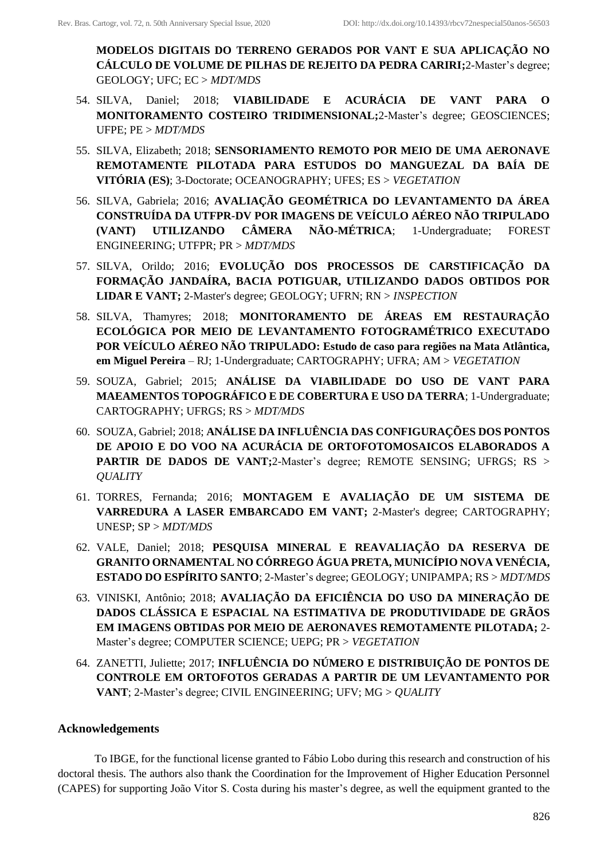**MODELOS DIGITAIS DO TERRENO GERADOS POR VANT E SUA APLICAÇÃO NO CÁLCULO DE VOLUME DE PILHAS DE REJEITO DA PEDRA CARIRI;**2-Master's degree; GEOLOGY; UFC; EC > *MDT/MDS*

- 54. SILVA, Daniel; 2018; **VIABILIDADE E ACURÁCIA DE VANT PARA O MONITORAMENTO COSTEIRO TRIDIMENSIONAL;**2-Master's degree; GEOSCIENCES; UFPE; PE > *MDT/MDS*
- 55. SILVA, Elizabeth; 2018; **SENSORIAMENTO REMOTO POR MEIO DE UMA AERONAVE REMOTAMENTE PILOTADA PARA ESTUDOS DO MANGUEZAL DA BAÍA DE VITÓRIA (ES)**; 3-Doctorate; OCEANOGRAPHY; UFES; ES > *VEGETATION*
- 56. SILVA, Gabriela; 2016; **AVALIAÇÃO GEOMÉTRICA DO LEVANTAMENTO DA ÁREA CONSTRUÍDA DA UTFPR-DV POR IMAGENS DE VEÍCULO AÉREO NÃO TRIPULADO (VANT) UTILIZANDO CÂMERA NÃO-MÉTRICA**; 1-Undergraduate; FOREST ENGINEERING; UTFPR; PR > *MDT/MDS*
- 57. SILVA, Orildo; 2016; **EVOLUÇÃO DOS PROCESSOS DE CARSTIFICAÇÃO DA FORMAÇÃO JANDAÍRA, BACIA POTIGUAR, UTILIZANDO DADOS OBTIDOS POR LIDAR E VANT;** 2-Master's degree; GEOLOGY; UFRN; RN > *INSPECTION*
- 58. SILVA, Thamyres; 2018; **MONITORAMENTO DE ÁREAS EM RESTAURAÇÃO ECOLÓGICA POR MEIO DE LEVANTAMENTO FOTOGRAMÉTRICO EXECUTADO POR VEÍCULO AÉREO NÃO TRIPULADO: Estudo de caso para regiões na Mata Atlântica, em Miguel Pereira** – RJ; 1-Undergraduate; CARTOGRAPHY; UFRA; AM > *VEGETATION*
- 59. SOUZA, Gabriel; 2015; **ANÁLISE DA VIABILIDADE DO USO DE VANT PARA MAEAMENTOS TOPOGRÁFICO E DE COBERTURA E USO DA TERRA**; 1-Undergraduate; CARTOGRAPHY; UFRGS; RS > *MDT/MDS*
- 60. SOUZA, Gabriel; 2018; **ANÁLISE DA INFLUÊNCIA DAS CONFIGURAÇÕES DOS PONTOS DE APOIO E DO VOO NA ACURÁCIA DE ORTOFOTOMOSAICOS ELABORADOS A PARTIR DE DADOS DE VANT;2-Master's degree; REMOTE SENSING; UFRGS; RS >** *QUALITY*
- 61. TORRES, Fernanda; 2016; **MONTAGEM E AVALIAÇÃO DE UM SISTEMA DE VARREDURA A LASER EMBARCADO EM VANT;** 2-Master's degree; CARTOGRAPHY; UNESP; SP > *MDT/MDS*
- 62. VALE, Daniel; 2018; **PESQUISA MINERAL E REAVALIAÇÃO DA RESERVA DE GRANITO ORNAMENTAL NO CÓRREGO ÁGUA PRETA, MUNICÍPIO NOVA VENÉCIA, ESTADO DO ESPÍRITO SANTO**; 2-Master's degree; GEOLOGY; UNIPAMPA; RS > *MDT/MDS*
- 63. VINISKI, Antônio; 2018; **AVALIAÇÃO DA EFICIÊNCIA DO USO DA MINERAÇÃO DE DADOS CLÁSSICA E ESPACIAL NA ESTIMATIVA DE PRODUTIVIDADE DE GRÃOS EM IMAGENS OBTIDAS POR MEIO DE AERONAVES REMOTAMENTE PILOTADA;** 2- Master's degree; COMPUTER SCIENCE; UEPG; PR > *VEGETATION*
- 64. ZANETTI, Juliette; 2017; **INFLUÊNCIA DO NÚMERO E DISTRIBUIÇÃO DE PONTOS DE CONTROLE EM ORTOFOTOS GERADAS A PARTIR DE UM LEVANTAMENTO POR VANT**; 2-Master's degree; CIVIL ENGINEERING; UFV; MG > *QUALITY*

# **Acknowledgements**

To IBGE, for the functional license granted to Fábio Lobo during this research and construction of his doctoral thesis. The authors also thank the Coordination for the Improvement of Higher Education Personnel (CAPES) for supporting João Vitor S. Costa during his master's degree, as well the equipment granted to the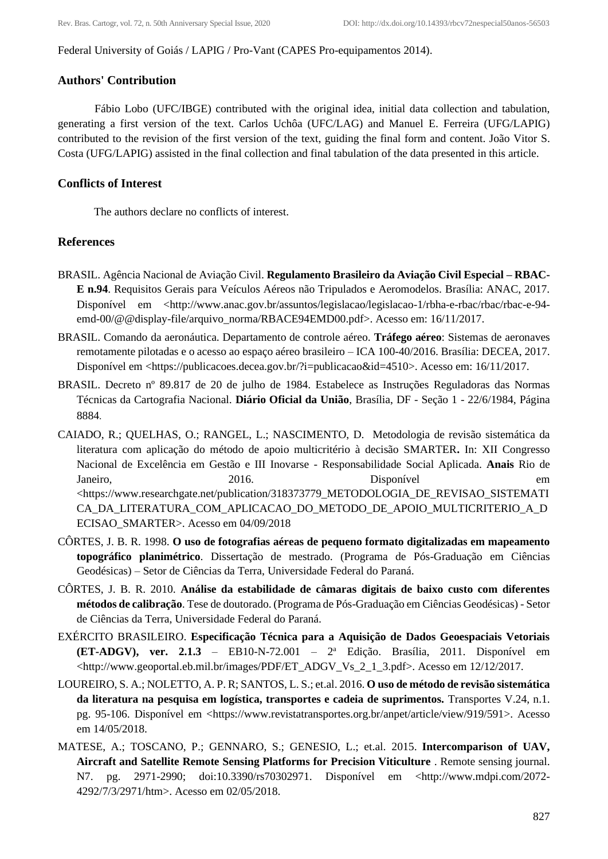Federal University of Goiás / LAPIG / Pro-Vant (CAPES Pro-equipamentos 2014).

## **Authors' Contribution**

Fábio Lobo (UFC/IBGE) contributed with the original idea, initial data collection and tabulation, generating a first version of the text. Carlos Uchôa (UFC/LAG) and Manuel E. Ferreira (UFG/LAPIG) contributed to the revision of the first version of the text, guiding the final form and content. João Vitor S. Costa (UFG/LAPIG) assisted in the final collection and final tabulation of the data presented in this article.

# **Conflicts of Interest**

The authors declare no conflicts of interest.

# **References**

- BRASIL. Agência Nacional de Aviação Civil. **Regulamento Brasileiro da Aviação Civil Especial – RBAC-E n.94**. Requisitos Gerais para Veículos Aéreos não Tripulados e Aeromodelos. Brasília: ANAC, 2017. Disponível em <http://www.anac.gov.br/assuntos/legislacao/legislacao-1/rbha-e-rbac/rbac/rbac-e-94emd-00/@@display-file/arquivo\_norma/RBACE94EMD00.pdf>. Acesso em: 16/11/2017.
- BRASIL. Comando da aeronáutica. Departamento de controle aéreo. **Tráfego aéreo**: Sistemas de aeronaves remotamente pilotadas e o acesso ao espaço aéreo brasileiro – ICA 100-40/2016. Brasília: DECEA, 2017. Disponível em <https://publicacoes.decea.gov.br/?i=publicacao&id=4510>. Acesso em: 16/11/2017.
- BRASIL. Decreto nº 89.817 de 20 de julho de 1984. Estabelece as Instruções Reguladoras das Normas Técnicas da Cartografia Nacional. **Diário Oficial da União**, Brasília, DF - Seção 1 - 22/6/1984, Página 8884.
- CAIADO, R.; QUELHAS, O.; RANGEL, L.; NASCIMENTO, D. Metodologia de revisão sistemática da literatura com aplicação do método de apoio multicritério à decisão SMARTER**.** In: XII Congresso Nacional de Excelência em Gestão e III Inovarse - Responsabilidade Social Aplicada. **Anais** Rio de Janeiro, 2016. 2016. Disponível em <https://www.researchgate.net/publication/318373779\_METODOLOGIA\_DE\_REVISAO\_SISTEMATI CA\_DA\_LITERATURA\_COM\_APLICACAO\_DO\_METODO\_DE\_APOIO\_MULTICRITERIO\_A\_D ECISAO\_SMARTER>. Acesso em 04/09/2018
- CÔRTES, J. B. R. 1998. **O uso de fotografias aéreas de pequeno formato digitalizadas em mapeamento topográfico planimétrico**. Dissertação de mestrado. (Programa de Pós-Graduação em Ciências Geodésicas) – Setor de Ciências da Terra, Universidade Federal do Paraná.
- CÔRTES, J. B. R. 2010. **Análise da estabilidade de câmaras digitais de baixo custo com diferentes métodos de calibração**. Tese de doutorado. (Programa de Pós-Graduação em Ciências Geodésicas) - Setor de Ciências da Terra, Universidade Federal do Paraná.
- EXÉRCITO BRASILEIRO. **Especificação Técnica para a Aquisição de Dados Geoespaciais Vetoriais (ET-ADGV), ver. 2.1.3** – EB10-N-72.001 – 2 <sup>a</sup> Edição. Brasília, 2011. Disponível em <http://www.geoportal.eb.mil.br/images/PDF/ET\_ADGV\_Vs\_2\_1\_3.pdf>. Acesso em 12/12/2017.
- LOUREIRO, S. A.; NOLETTO, A. P. R; SANTOS, L. S.; et.al. 2016. **O uso de método de revisão sistemática da literatura na pesquisa em logística, transportes e cadeia de suprimentos.** Transportes V.24, n.1. pg. 95-106. Disponível em [<https://www.revistatransportes.org.br/anpet/article/view/919/591>](https://www.revistatransportes.org.br/anpet/article/view/919/591). Acesso em 14/05/2018.
- MATESE, A.; TOSCANO, P.; GENNARO, S.; GENESIO, L.; et.al*.* 2015. **Intercomparison of UAV, Aircraft and Satellite Remote Sensing Platforms for Precision Viticulture** . Remote sensing journal. N7. pg. 2971-2990; doi:10.3390/rs70302971. Disponível em [<http://www.mdpi.com/2072-](http://www.mdpi.com/2072-4292/7/3/2971/htm) [4292/7/3/2971/htm>](http://www.mdpi.com/2072-4292/7/3/2971/htm). Acesso em 02/05/2018.